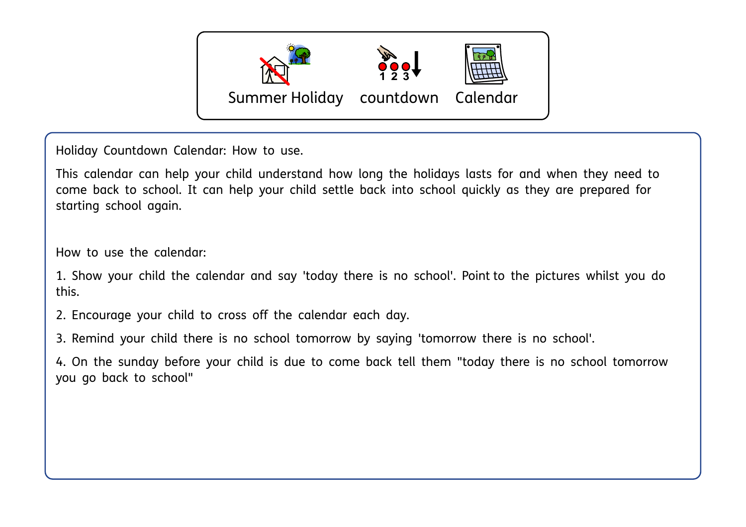

Holiday Countdown Calendar: How to use.

This calendar can help your child understand how long the holidays lasts for and when they need to come back to school. It can help your child settle back into school quickly as they are prepared for starting school again.

How to use the calendar:

1. Show your child the calendar and say 'today there is no school'. Point to the pictures whilst you do this.

2. Encourage your child to cross off the calendar each day.

3. Remind your child there is no school tomorrow by saying 'tomorrow there is no school'.

4. On the sunday before your child is due to come back tell them "today there is no school tomorrow you go back to school"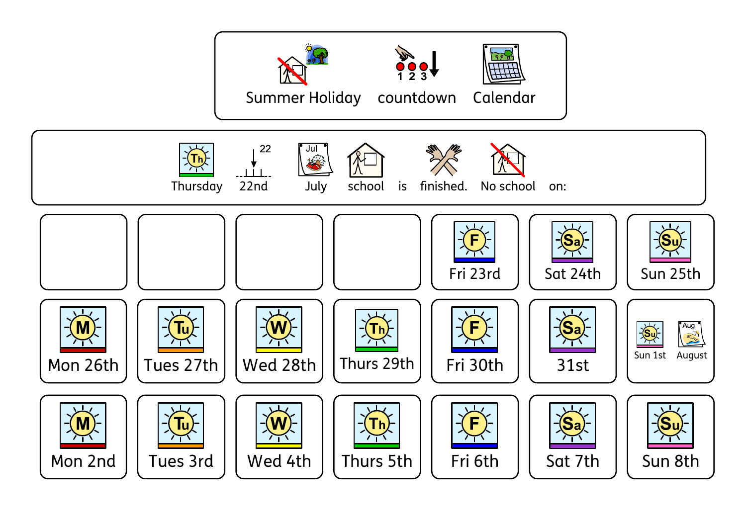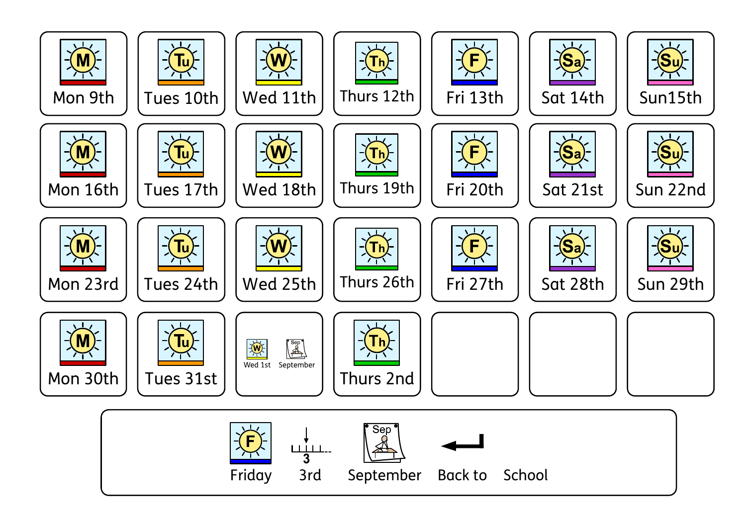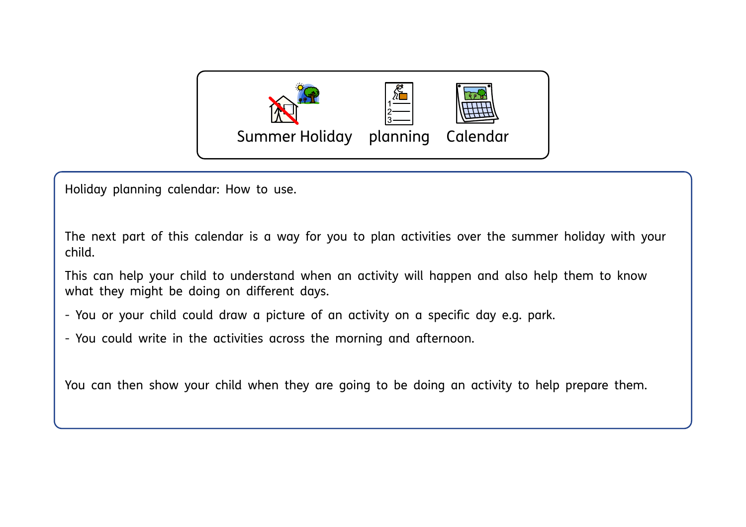

Holiday planning calendar: How to use.

The next part of this calendar is a way for you to plan activities over the summer holiday with your child.

This can help your child to understand when an activity will happen and also help them to know what they might be doing on different days.

- You or your child could draw a picture of an activity on a specific day e.g. park.
- You could write in the activities across the morning and afternoon.

You can then show your child when they are going to be doing an activity to help prepare them.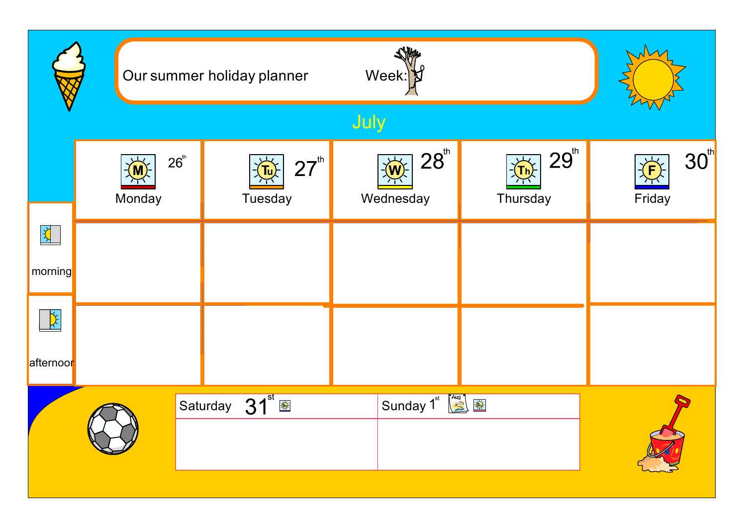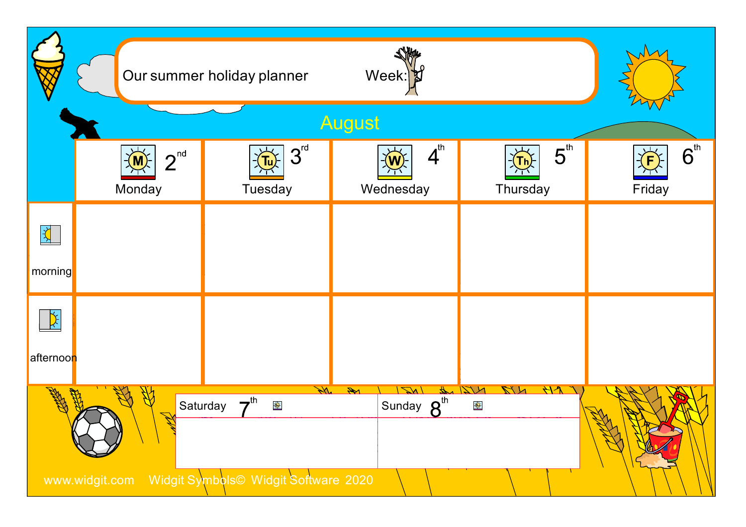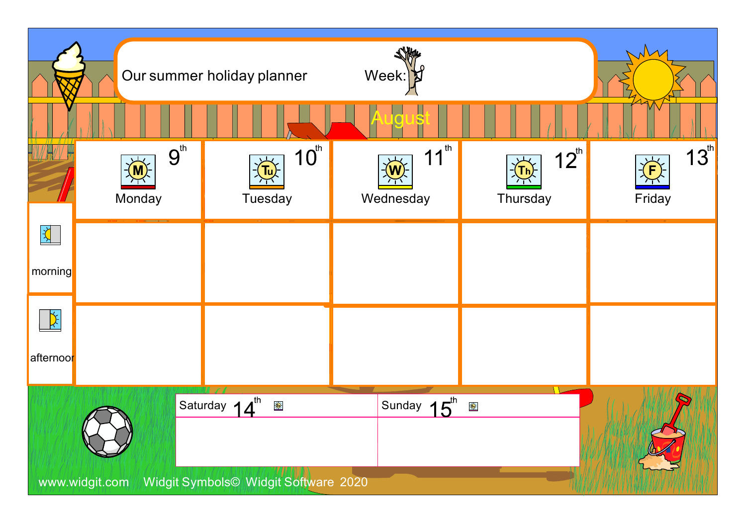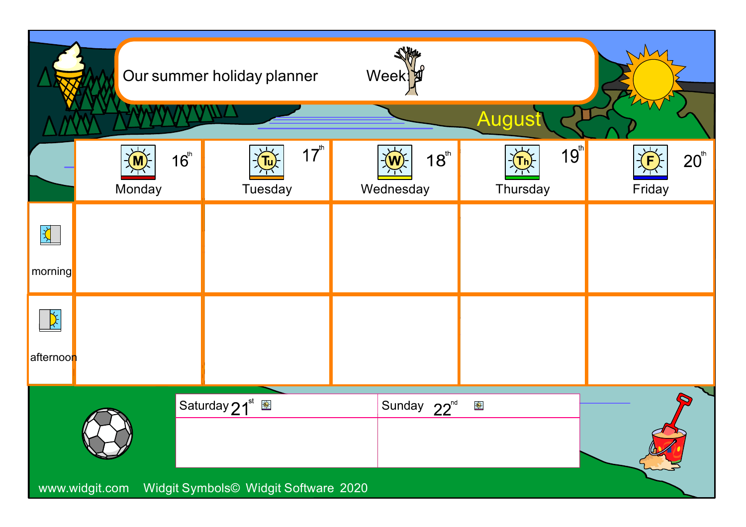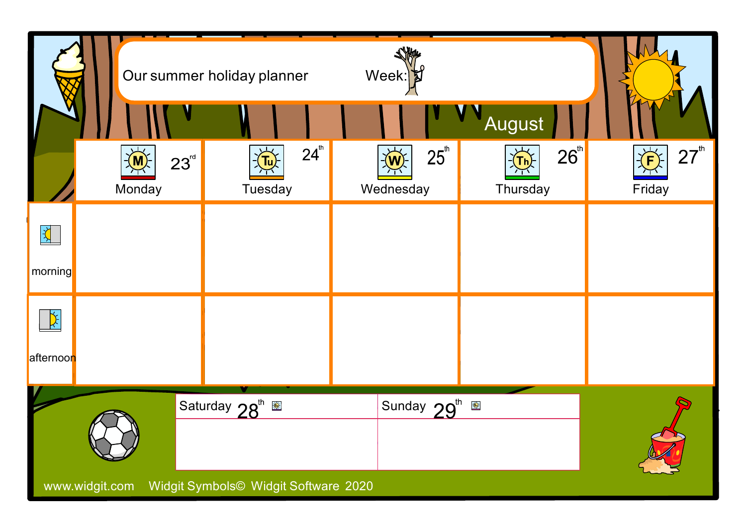